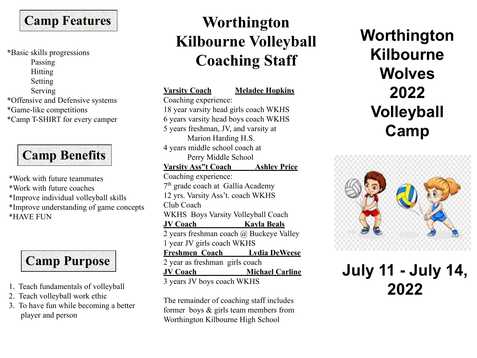

\*Basic skills progressions

Passing Hitting Setting Serving \*Offensive and Defensive systems \*Game-like competitions \*Camp T-SHIRT for every camper



\*Work with future teammates \*Work with future coaches \*Improve individual volleyball skills \*Improve understanding of game concepts \*HAVE FUN



- 1. Teach fundamentals of volleyball
- 2. Teach volleyball work ethic
- 3. To have fun while becoming a better player and person

### **Worthington Kilbourne Volleyball Coaching Staff**

**Varsity Coach Meladee Hopkins** Coaching experience: 18 year varsity head girls coach WKHS 6 years varsity head boys coach WKHS 5 years freshman, JV, and varsity at Marion Harding H.S. 4 years middle school coach at Perry Middle School **Varsity Ass"t Coach Ashley Price** Coaching experience: 7<sup>th</sup> grade coach at Gallia Academy 12 yrs. Varsity Ass't. coach WKHS Club Coach WKHS Boys Varsity Volleyball Coach **JV Coach Kayla Beals**  2 years freshman coach @ Buckeye Valley 1 year JV girls coach WKHS **Freshmen Coach Lydia DeWeese** 2 year as freshman girls coach **JV Coach Michael Carline** 3 years JV boys coach WKHS

The remainder of coaching staff includes former boys & girls team members from Worthington Kilbourne High School

**Worthington Kilbourne Wolves 2022 Volleyball Camp**



#### **July 11 - July 14, 2022**